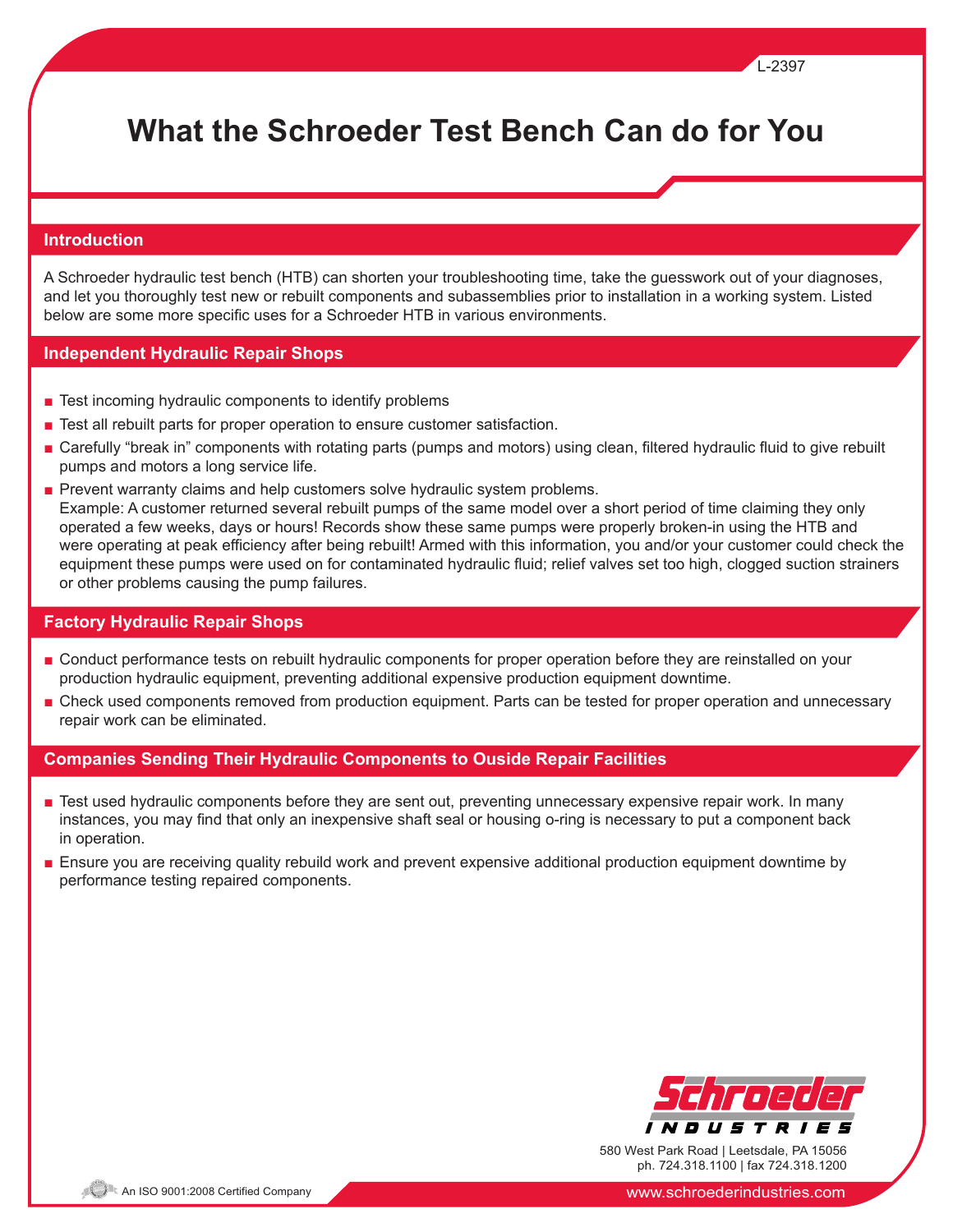# **What the Schroeder Test Bench Can do for You**

## **Introduction**

A Schroeder hydraulic test bench (HTB) can shorten your troubleshooting time, take the guesswork out of your diagnoses, and let you thoroughly test new or rebuilt components and subassemblies prior to installation in a working system. Listed below are some more specific uses for a Schroeder HTB in various environments.

# **Independent Hydraulic Repair Shops**

- Test incoming hydraulic components to identify problems
- Test all rebuilt parts for proper operation to ensure customer satisfaction.
- Carefully "break in" components with rotating parts (pumps and motors) using clean, filtered hydraulic fluid to give rebuilt pumps and motors a long service life.
- Prevent warranty claims and help customers solve hydraulic system problems. Example: A customer returned several rebuilt pumps of the same model over a short period of time claiming they only operated a few weeks, days or hours! Records show these same pumps were properly broken-in using the HTB and were operating at peak efficiency after being rebuilt! Armed with this information, you and/or your customer could check the equipment these pumps were used on for contaminated hydraulic fluid; relief valves set too high, clogged suction strainers or other problems causing the pump failures.

## **Factory Hydraulic Repair Shops**

- Conduct performance tests on rebuilt hydraulic components for proper operation before they are reinstalled on your production hydraulic equipment, preventing additional expensive production equipment downtime.
- Check used components removed from production equipment. Parts can be tested for proper operation and unnecessary repair work can be eliminated.

# **Companies Sending Their Hydraulic Components to Ouside Repair Facilities**

- Test used hydraulic components before they are sent out, preventing unnecessary expensive repair work. In many instances, you may find that only an inexpensive shaft seal or housing o-ring is necessary to put a component back in operation.
- Ensure you are receiving quality rebuild work and prevent expensive additional production equipment downtime by performance testing repaired components.



L-2397

580 West Park Road | Leetsdale, PA 15056 ph. 724.318.1100 | fax 724.318.1200